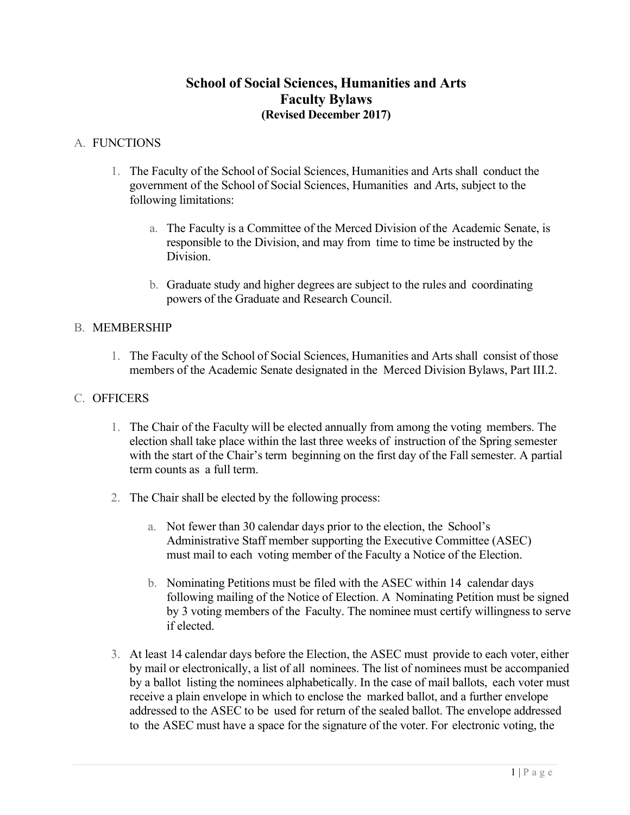# **School of Social Sciences, Humanities and Arts Faculty Bylaws (Revised December 2017)**

### A. FUNCTIONS

- 1. The Faculty of the School of Social Sciences, Humanities and Arts shall conduct the government of the School of Social Sciences, Humanities and Arts, subject to the following limitations:
	- a. The Faculty is a Committee of the Merced Division of the Academic Senate, is responsible to the Division, and may from time to time be instructed by the Division.
	- b. Graduate study and higher degrees are subject to the rules and coordinating powers of the Graduate and Research Council.

### B. MEMBERSHIP

1. The Faculty of the School of Social Sciences, Humanities and Arts shall consist of those members of the Academic Senate designated in the Merced Division Bylaws, Part III.2.

### C. OFFICERS

- 1. The Chair of the Faculty will be elected annually from among the voting members. The election shall take place within the last three weeks of instruction of the Spring semester with the start of the Chair's term beginning on the first day of the Fall semester. A partial term counts as a full term.
- 2. The Chair shall be elected by the following process:
	- a. Not fewer than 30 calendar days prior to the election, the School's Administrative Staff member supporting the Executive Committee (ASEC) must mail to each voting member of the Faculty a Notice of the Election.
	- b. Nominating Petitions must be filed with the ASEC within 14 calendar days following mailing of the Notice of Election. A Nominating Petition must be signed by 3 voting members of the Faculty. The nominee must certify willingness to serve if elected.
- 3. At least 14 calendar days before the Election, the ASEC must provide to each voter, either by mail or electronically, a list of all nominees. The list of nominees must be accompanied by a ballot listing the nominees alphabetically. In the case of mail ballots, each voter must receive a plain envelope in which to enclose the marked ballot, and a further envelope addressed to the ASEC to be used for return of the sealed ballot. The envelope addressed to the ASEC must have a space for the signature of the voter. For electronic voting, the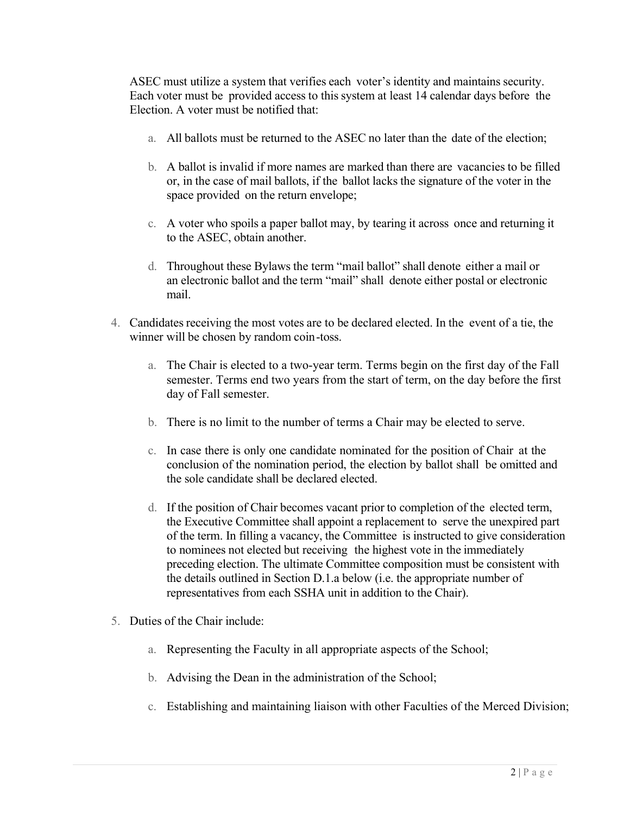ASEC must utilize a system that verifies each voter's identity and maintains security. Each voter must be provided access to this system at least 14 calendar days before the Election. A voter must be notified that:

- a. All ballots must be returned to the ASEC no later than the date of the election;
- b. A ballot is invalid if more names are marked than there are vacancies to be filled or, in the case of mail ballots, if the ballot lacks the signature of the voter in the space provided on the return envelope;
- c. A voter who spoils a paper ballot may, by tearing it across once and returning it to the ASEC, obtain another.
- d. Throughout these Bylaws the term "mail ballot" shall denote either a mail or an electronic ballot and the term "mail" shall denote either postal or electronic mail.
- 4. Candidates receiving the most votes are to be declared elected. In the event of a tie, the winner will be chosen by random coin-toss.
	- a. The Chair is elected to a two-year term. Terms begin on the first day of the Fall semester. Terms end two years from the start of term, on the day before the first day of Fall semester.
	- b. There is no limit to the number of terms a Chair may be elected to serve.
	- c. In case there is only one candidate nominated for the position of Chair at the conclusion of the nomination period, the election by ballot shall be omitted and the sole candidate shall be declared elected.
	- d. If the position of Chair becomes vacant prior to completion of the elected term, the Executive Committee shall appoint a replacement to serve the unexpired part of the term. In filling a vacancy, the Committee is instructed to give consideration to nominees not elected but receiving the highest vote in the immediately preceding election. The ultimate Committee composition must be consistent with the details outlined in Section D.1.a below (i.e. the appropriate number of representatives from each SSHA unit in addition to the Chair).
- 5. Duties of the Chair include:
	- a. Representing the Faculty in all appropriate aspects of the School;
	- b. Advising the Dean in the administration of the School;
	- c. Establishing and maintaining liaison with other Faculties of the Merced Division;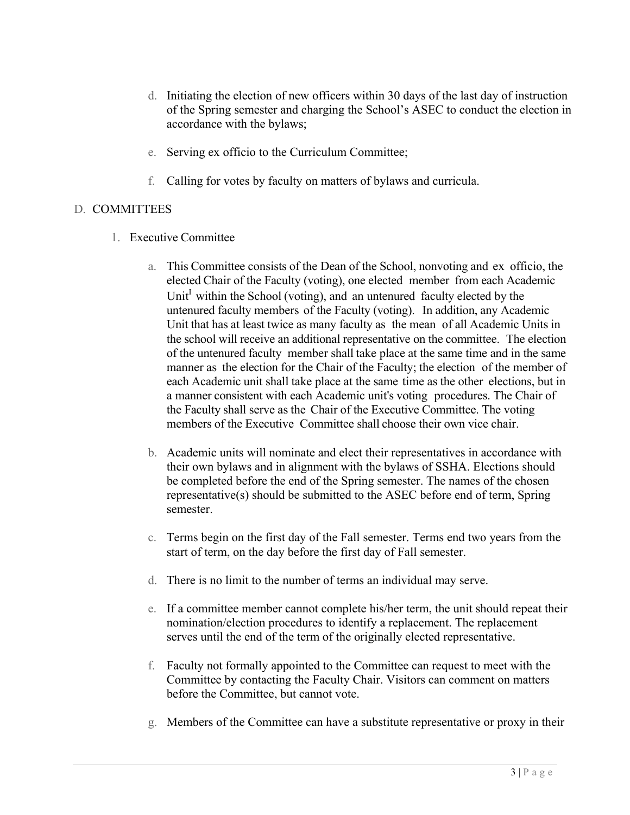- d. Initiating the election of new officers within 30 days of the last day of instruction of the Spring semester and charging the School's ASEC to conduct the election in accordance with the bylaws;
- e. Serving ex officio to the Curriculum Committee;
- f. Calling for votes by faculty on matters of bylaws and curricula.

## D. COMMITTEES

- 1. Executive Committee
	- a. This Committee consists of the Dean of the School, nonvoting and ex officio, the elected Chair of the Faculty (voting), one elected member from each Academic Unit<sup>I</sup> within the School (voting), and an untenured faculty elected by the untenured faculty members of the Faculty (voting). In addition, any Academic Unit that has at least twice as many faculty as the mean of all Academic Units in the school will receive an additional representative on the committee. The election of the untenured faculty member shall take place at the same time and in the same manner as the election for the Chair of the Faculty; the election of the member of each Academic unit shall take place at the same time as the other elections, but in a manner consistent with each Academic unit's voting procedures. The Chair of the Faculty shall serve as the Chair of the Executive Committee. The voting members of the Executive Committee shall choose their own vice chair.
	- b. Academic units will nominate and elect their representatives in accordance with their own bylaws and in alignment with the bylaws of SSHA. Elections should be completed before the end of the Spring semester. The names of the chosen representative(s) should be submitted to the ASEC before end of term, Spring semester.
	- c. Terms begin on the first day of the Fall semester. Terms end two years from the start of term, on the day before the first day of Fall semester.
	- d. There is no limit to the number of terms an individual may serve.
	- e. If a committee member cannot complete his/her term, the unit should repeat their nomination/election procedures to identify a replacement. The replacement serves until the end of the term of the originally elected representative.
	- f. Faculty not formally appointed to the Committee can request to meet with the Committee by contacting the Faculty Chair. Visitors can comment on matters before the Committee, but cannot vote.
	- g. Members of the Committee can have a substitute representative or proxy in their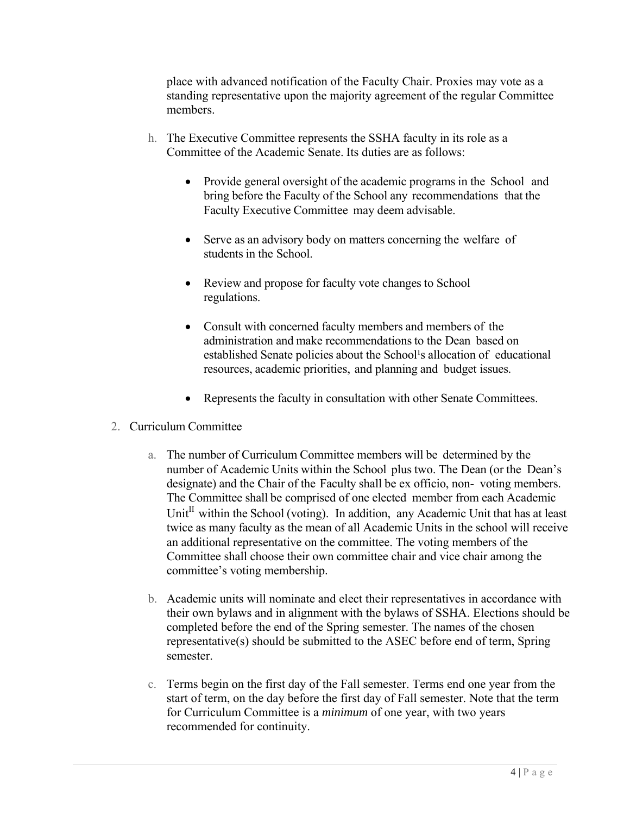place with advanced notification of the Faculty Chair. Proxies may vote as a standing representative upon the majority agreement of the regular Committee members.

- h. The Executive Committee represents the SSHA faculty in its role as a Committee of the Academic Senate. Its duties are as follows:
	- Provide general oversight of the academic programs in the School and bring before the Faculty of the School any recommendations that the Faculty Executive Committee may deem advisable.
	- Serve as an advisory body on matters concerning the welfare of students in the School.
	- Review and propose for faculty vote changes to School regulations.
	- Consult with concerned faculty members and members of the administration and make recommendations to the Dean based on established Senate policies about the School's allocation of educational resources, academic priorities, and planning and budget issues.
	- Represents the faculty in consultation with other Senate Committees.
- 2. Curriculum Committee
	- a. The number of Curriculum Committee members will be determined by the number of Academic Units within the School plus two. The Dean (or the Dean's designate) and the Chair of the Faculty shall be ex officio, non- voting members. The Committee shall be comprised of one elected member from each Academic Unit<sup>II</sup> within the School (voting). In addition, any Academic Unit that has at least twice as many faculty as the mean of all Academic Units in the school will receive an additional representative on the committee. The voting members of the Committee shall choose their own committee chair and vice chair among the committee's voting membership.
	- b. Academic units will nominate and elect their representatives in accordance with their own bylaws and in alignment with the bylaws of SSHA. Elections should be completed before the end of the Spring semester. The names of the chosen representative(s) should be submitted to the ASEC before end of term, Spring semester.
	- c. Terms begin on the first day of the Fall semester. Terms end one year from the start of term, on the day before the first day of Fall semester. Note that the term for Curriculum Committee is a *minimum* of one year, with two years recommended for continuity.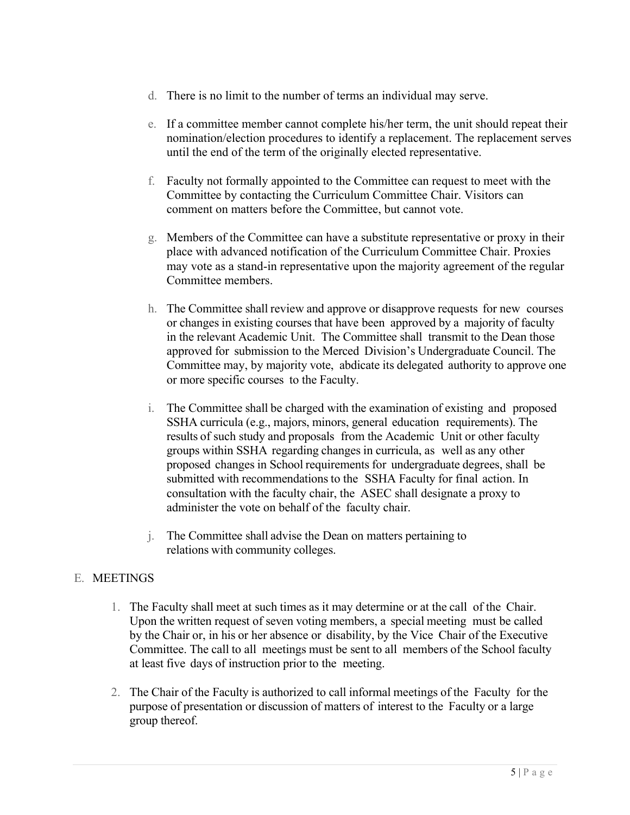- d. There is no limit to the number of terms an individual may serve.
- e. If a committee member cannot complete his/her term, the unit should repeat their nomination/election procedures to identify a replacement. The replacement serves until the end of the term of the originally elected representative.
- f. Faculty not formally appointed to the Committee can request to meet with the Committee by contacting the Curriculum Committee Chair. Visitors can comment on matters before the Committee, but cannot vote.
- g. Members of the Committee can have a substitute representative or proxy in their place with advanced notification of the Curriculum Committee Chair. Proxies may vote as a stand-in representative upon the majority agreement of the regular Committee members.
- h. The Committee shall review and approve or disapprove requests for new courses or changes in existing courses that have been approved by a majority of faculty in the relevant Academic Unit. The Committee shall transmit to the Dean those approved for submission to the Merced Division's Undergraduate Council. The Committee may, by majority vote, abdicate its delegated authority to approve one or more specific courses to the Faculty.
- i. The Committee shall be charged with the examination of existing and proposed SSHA curricula (e.g., majors, minors, general education requirements). The results of such study and proposals from the Academic Unit or other faculty groups within SSHA regarding changes in curricula, as well as any other proposed changes in School requirements for undergraduate degrees, shall be submitted with recommendations to the SSHA Faculty for final action. In consultation with the faculty chair, the ASEC shall designate a proxy to administer the vote on behalf of the faculty chair.
- j. The Committee shall advise the Dean on matters pertaining to relations with community colleges.

### E. MEETINGS

- 1. The Faculty shall meet at such times as it may determine or at the call of the Chair. Upon the written request of seven voting members, a special meeting must be called by the Chair or, in his or her absence or disability, by the Vice Chair of the Executive Committee. The call to all meetings must be sent to all members of the School faculty at least five days of instruction prior to the meeting.
- 2. The Chair of the Faculty is authorized to call informal meetings of the Faculty for the purpose of presentation or discussion of matters of interest to the Faculty or a large group thereof.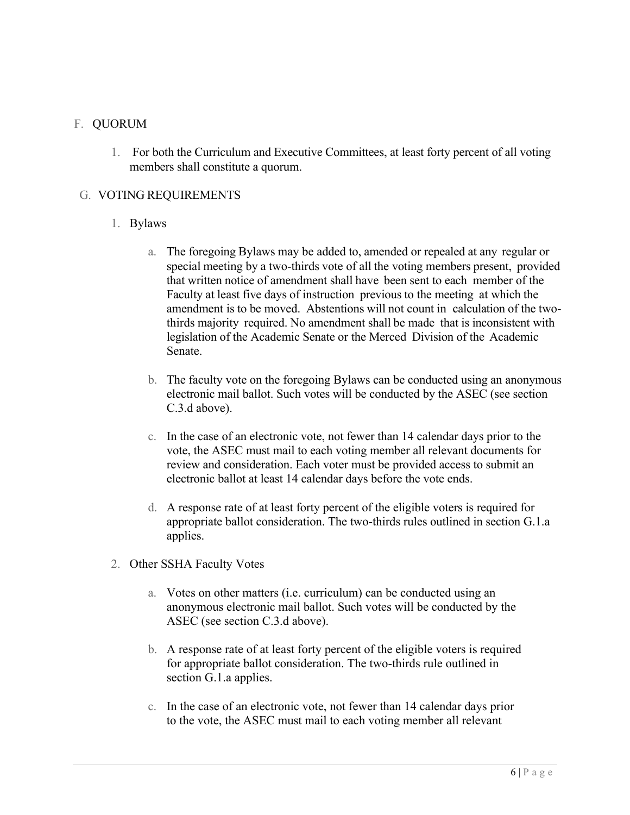### F. QUORUM

1. For both the Curriculum and Executive Committees, at least forty percent of all voting members shall constitute a quorum.

### G. VOTING REQUIREMENTS

#### 1. Bylaws

- a. The foregoing Bylaws may be added to, amended or repealed at any regular or special meeting by a two-thirds vote of all the voting members present, provided that written notice of amendment shall have been sent to each member of the Faculty at least five days of instruction previous to the meeting at which the amendment is to be moved. Abstentions will not count in calculation of the twothirds majority required. No amendment shall be made that is inconsistent with legislation of the Academic Senate or the Merced Division of the Academic Senate.
- b. The faculty vote on the foregoing Bylaws can be conducted using an anonymous electronic mail ballot. Such votes will be conducted by the ASEC (see section C.3.d above).
- c. In the case of an electronic vote, not fewer than 14 calendar days prior to the vote, the ASEC must mail to each voting member all relevant documents for review and consideration. Each voter must be provided access to submit an electronic ballot at least 14 calendar days before the vote ends.
- d. A response rate of at least forty percent of the eligible voters is required for appropriate ballot consideration. The two-thirds rules outlined in section G.1.a applies.
- 2. Other SSHA Faculty Votes
	- a. Votes on other matters (i.e. curriculum) can be conducted using an anonymous electronic mail ballot. Such votes will be conducted by the ASEC (see section C.3.d above).
	- b. A response rate of at least forty percent of the eligible voters is required for appropriate ballot consideration. The two-thirds rule outlined in section G.1.a applies.
	- c. In the case of an electronic vote, not fewer than 14 calendar days prior to the vote, the ASEC must mail to each voting member all relevant